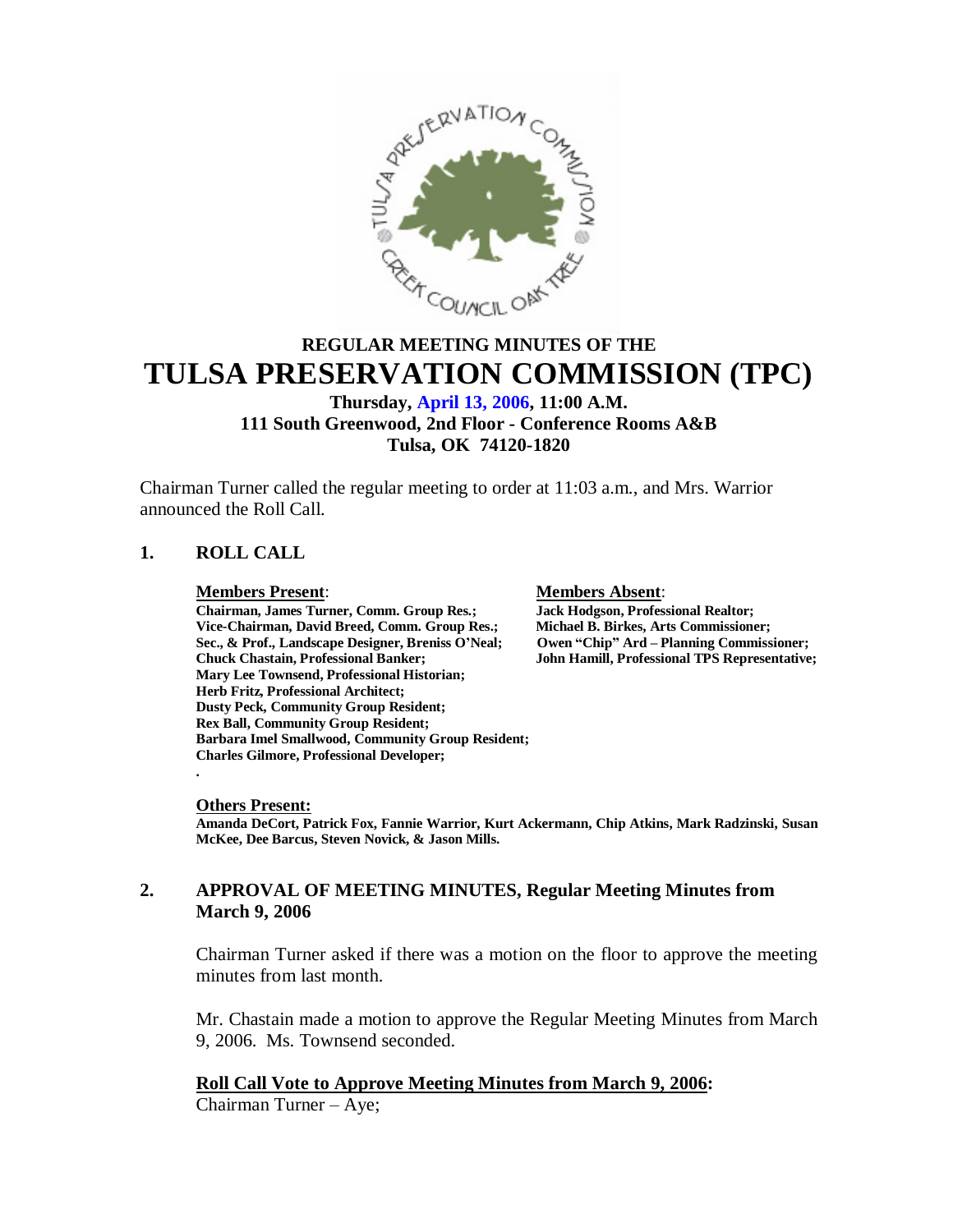

# **REGULAR MEETING MINUTES OF THE TULSA PRESERVATION COMMISSION (TPC)**

# **Thursday, April 13, 2006, 11:00 A.M. 111 South Greenwood, 2nd Floor - Conference Rooms A&B Tulsa, OK 74120-1820**

Chairman Turner called the regular meeting to order at 11:03 a.m., and Mrs. Warrior announced the Roll Call.

# **1. ROLL CALL**

**Members Present**: **Members Absent**: **Chairman, James Turner, Comm. Group Res.; Jack Hodgson, Professional Realtor; Vice-Chairman, David Breed, Comm. Group Res.; Michael B. Birkes, Arts Commissioner; Sec., & Prof., Landscape Designer, Breniss O'Neal;** Chuck Chastain, Professional Banker; **Mary Lee Townsend, Professional Historian; Herb Fritz, Professional Architect; Dusty Peck, Community Group Resident; Rex Ball, Community Group Resident; Barbara Imel Smallwood, Community Group Resident; Charles Gilmore, Professional Developer; .**

**Chuck Chastain, Professional Banker; John Hamill, Professional TPS Representative;**

#### **Others Present:**

**Amanda DeCort, Patrick Fox, Fannie Warrior, Kurt Ackermann, Chip Atkins, Mark Radzinski, Susan McKee, Dee Barcus, Steven Novick, & Jason Mills.**

# **2. APPROVAL OF MEETING MINUTES, Regular Meeting Minutes from March 9, 2006**

Chairman Turner asked if there was a motion on the floor to approve the meeting minutes from last month.

Mr. Chastain made a motion to approve the Regular Meeting Minutes from March 9, 2006. Ms. Townsend seconded.

**Roll Call Vote to Approve Meeting Minutes from March 9, 2006:** Chairman Turner – Aye;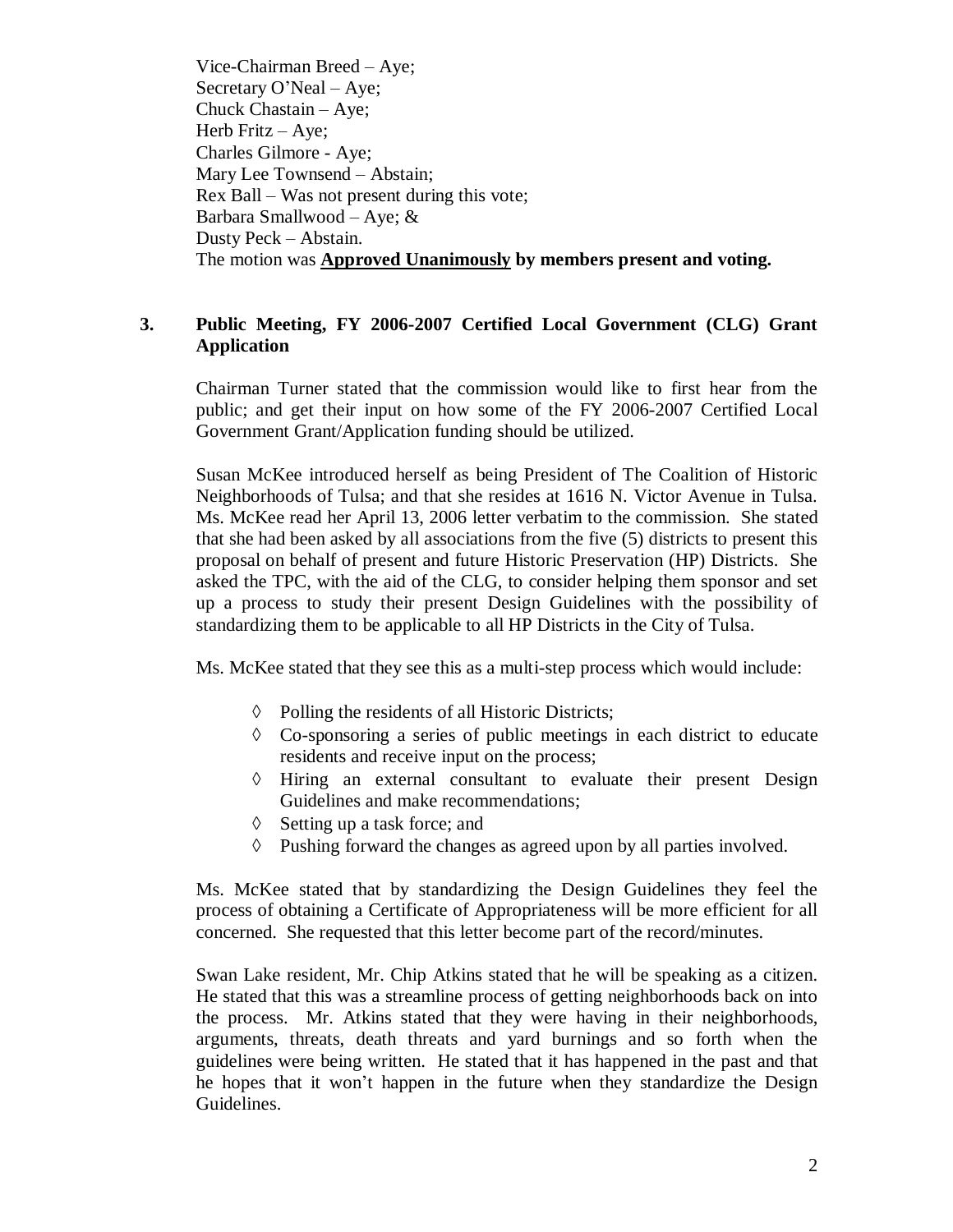Vice-Chairman Breed – Aye; Secretary O'Neal –Aye; Chuck Chastain – Aye; Herb Fritz  $-$  Aye; Charles Gilmore - Aye; Mary Lee Townsend – Abstain; Rex Ball –Was not present during this vote; Barbara Smallwood – Aye;  $&$ Dusty Peck – Abstain. The motion was **Approved Unanimously by members present and voting.**

# **3. Public Meeting, FY 2006-2007 Certified Local Government (CLG) Grant Application**

Chairman Turner stated that the commission would like to first hear from the public; and get their input on how some of the FY 2006-2007 Certified Local Government Grant/Application funding should be utilized.

Susan McKee introduced herself as being President of The Coalition of Historic Neighborhoods of Tulsa; and that she resides at 1616 N. Victor Avenue in Tulsa. Ms. McKee read her April 13, 2006 letter verbatim to the commission. She stated that she had been asked by all associations from the five (5) districts to present this proposal on behalf of present and future Historic Preservation (HP) Districts. She asked the TPC, with the aid of the CLG, to consider helping them sponsor and set up a process to study their present Design Guidelines with the possibility of standardizing them to be applicable to all HP Districts in the City of Tulsa.

Ms. McKee stated that they see this as a multi-step process which would include:

- $\Diamond$  Polling the residents of all Historic Districts;
- $\Diamond$  Co-sponsoring a series of public meetings in each district to educate residents and receive input on the process;
- $\Diamond$  Hiring an external consultant to evaluate their present Design Guidelines and make recommendations;
- $\Diamond$  Setting up a task force; and
- $\Diamond$  Pushing forward the changes as agreed upon by all parties involved.

Ms. McKee stated that by standardizing the Design Guidelines they feel the process of obtaining a Certificate of Appropriateness will be more efficient for all concerned. She requested that this letter become part of the record/minutes.

Swan Lake resident, Mr. Chip Atkins stated that he will be speaking as a citizen. He stated that this was a streamline process of getting neighborhoods back on into the process. Mr. Atkins stated that they were having in their neighborhoods, arguments, threats, death threats and yard burnings and so forth when the guidelines were being written. He stated that it has happened in the past and that he hopes that it won't happen in the future when they standardize the Design Guidelines.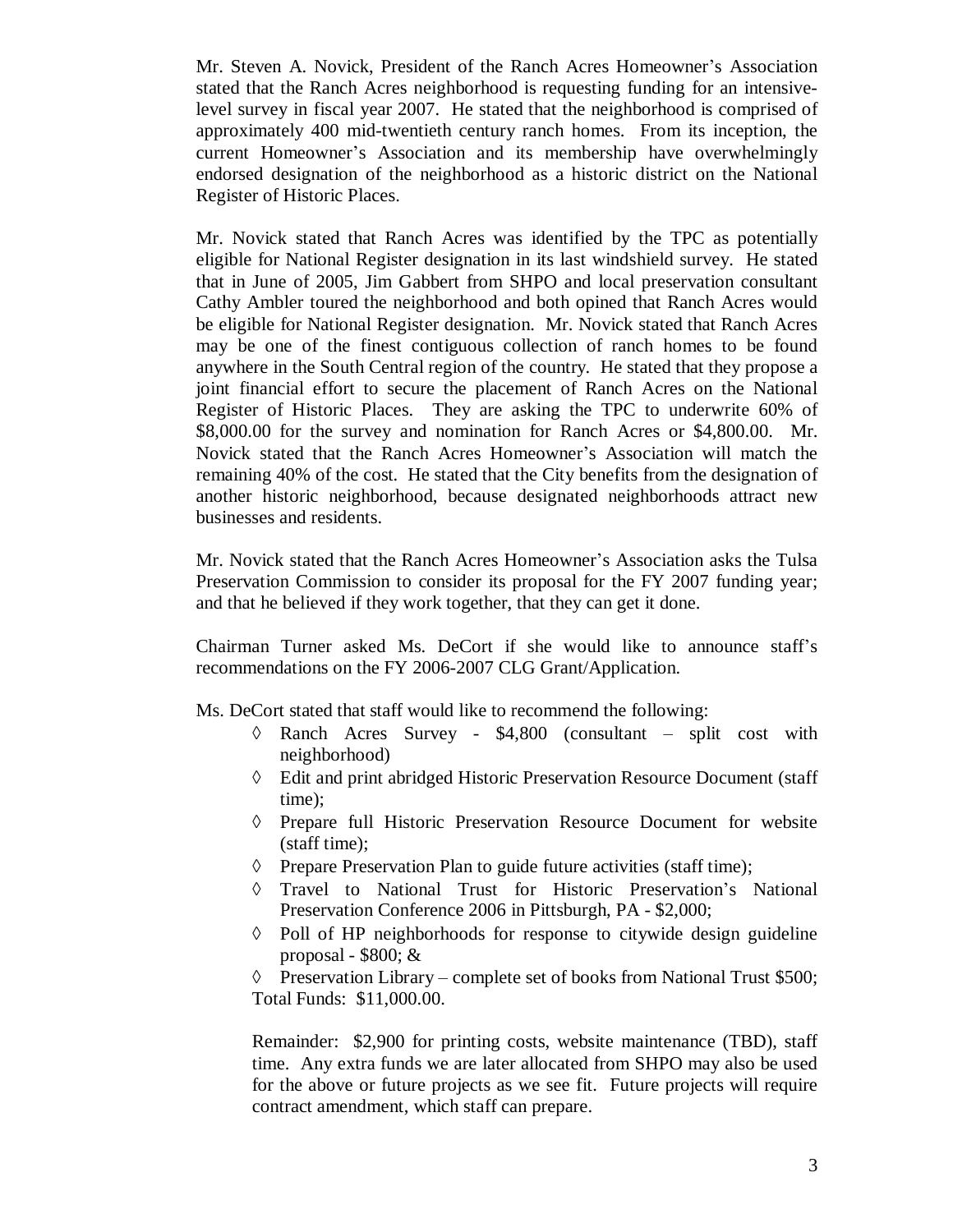Mr. Steven A. Novick, President of the Ranch Acres Homeowner's Association stated that the Ranch Acres neighborhood is requesting funding for an intensivelevel survey in fiscal year 2007. He stated that the neighborhood is comprised of approximately 400 mid-twentieth century ranch homes. From its inception, the current Homeowner's Association and its membership have overwhelmingly endorsed designation of the neighborhood as a historic district on the National Register of Historic Places.

Mr. Novick stated that Ranch Acres was identified by the TPC as potentially eligible for National Register designation in its last windshield survey. He stated that in June of 2005, Jim Gabbert from SHPO and local preservation consultant Cathy Ambler toured the neighborhood and both opined that Ranch Acres would be eligible for National Register designation. Mr. Novick stated that Ranch Acres may be one of the finest contiguous collection of ranch homes to be found anywhere in the South Central region of the country. He stated that they propose a joint financial effort to secure the placement of Ranch Acres on the National Register of Historic Places. They are asking the TPC to underwrite 60% of \$8,000.00 for the survey and nomination for Ranch Acres or \$4,800.00. Mr. Novick stated that the Ranch Acres Homeowner's Association will match the remaining 40% of the cost. He stated that the City benefits from the designation of another historic neighborhood, because designated neighborhoods attract new businesses and residents.

Mr. Novick stated that the Ranch Acres Homeowner's Association asks the Tulsa Preservation Commission to consider its proposal for the FY 2007 funding year; and that he believed if they work together, that they can get it done.

Chairman Turner asked Ms. DeCort if she would like to announce staff's recommendations on the FY 2006-2007 CLG Grant/Application.

Ms. DeCort stated that staff would like to recommend the following:

- $\Diamond$  Ranch Acres Survey \$4,800 (consultant split cost with neighborhood)
- Edit and print abridged Historic Preservation Resource Document (staff time);
- Prepare full Historic Preservation Resource Document for website (staff time);
- $\Diamond$  Prepare Preservation Plan to guide future activities (staff time);
- Travel to National Trust for Historic Preservation's National Preservation Conference 2006 in Pittsburgh, PA - \$2,000;
- $\Diamond$  Poll of HP neighborhoods for response to citywide design guideline proposal -  $$800; \&$

Preservation Library – complete set of books from National Trust \$500; Total Funds: \$11,000.00.

Remainder: \$2,900 for printing costs, website maintenance (TBD), staff time. Any extra funds we are later allocated from SHPO may also be used for the above or future projects as we see fit. Future projects will require contract amendment, which staff can prepare.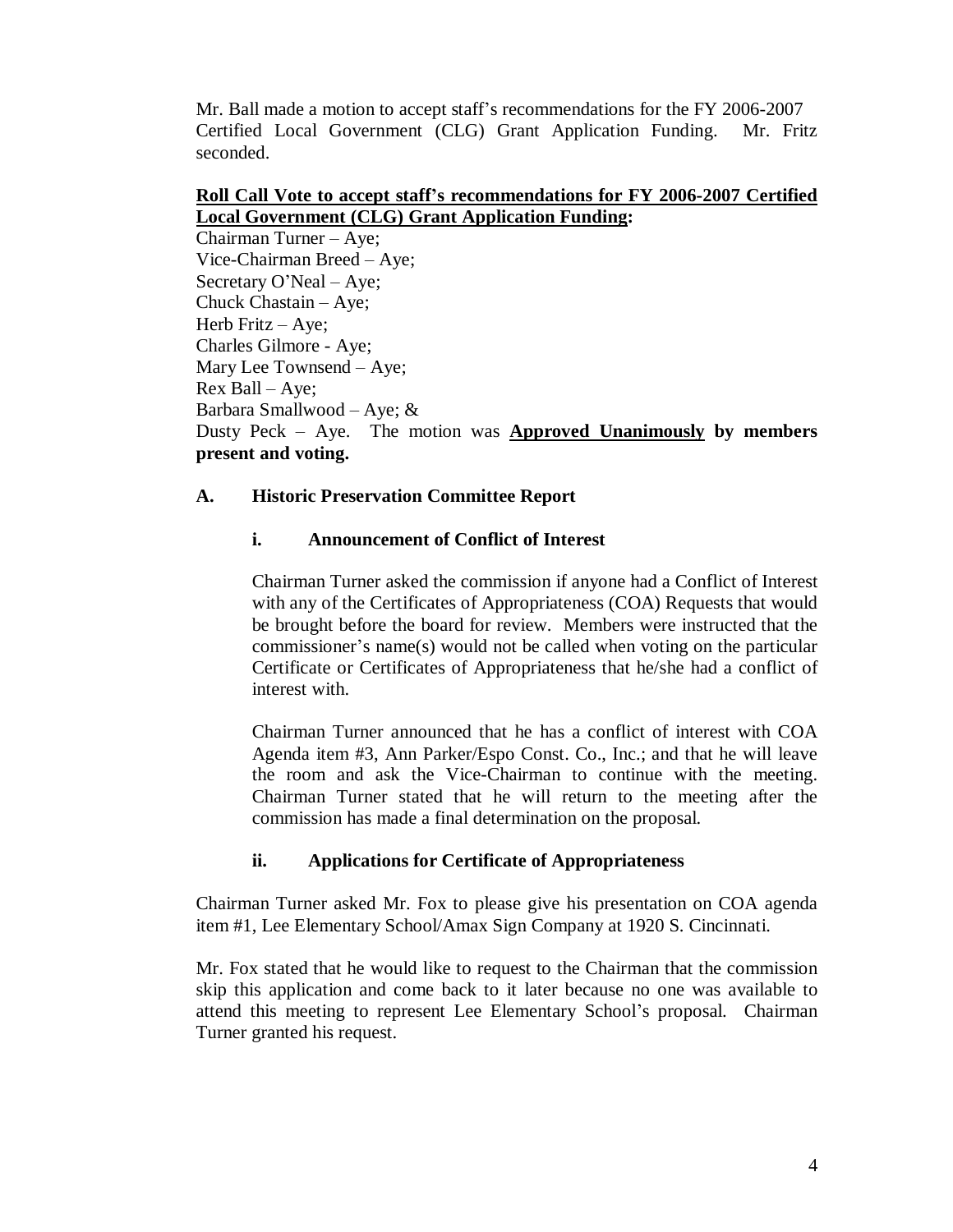Mr. Ball made a motion to accept staff's recommendations for the FY 2006-2007 Certified Local Government (CLG) Grant Application Funding. Mr. Fritz seconded.

### **Roll Call Vote to accept staff's recommendations for FY 2006-2007 Certified Local Government (CLG) Grant Application Funding:**

Chairman Turner – Aye; Vice-Chairman Breed – Aye; Secretary O'Neal – Aye; Chuck Chastain – Aye; Herb Fritz – Aye; Charles Gilmore - Aye; Mary Lee Townsend – Aye; Rex Ball –Aye; Barbara Smallwood – Aye; & Dusty Peck – Aye. The motion was **Approved Unanimously by members present and voting.**

# **A. Historic Preservation Committee Report**

# **i. Announcement of Conflict of Interest**

Chairman Turner asked the commission if anyone had a Conflict of Interest with any of the Certificates of Appropriateness (COA) Requests that would be brought before the board for review. Members were instructed that the commissioner's name(s) would not be called when voting on the particular Certificate or Certificates of Appropriateness that he/she had a conflict of interest with.

Chairman Turner announced that he has a conflict of interest with COA Agenda item #3, Ann Parker/Espo Const. Co., Inc.; and that he will leave the room and ask the Vice-Chairman to continue with the meeting. Chairman Turner stated that he will return to the meeting after the commission has made a final determination on the proposal.

# **ii. Applications for Certificate of Appropriateness**

Chairman Turner asked Mr. Fox to please give his presentation on COA agenda item #1, Lee Elementary School/Amax Sign Company at 1920 S. Cincinnati.

Mr. Fox stated that he would like to request to the Chairman that the commission skip this application and come back to it later because no one was available to attend this meeting to represent Lee Elementary School's proposal. Chairman Turner granted his request.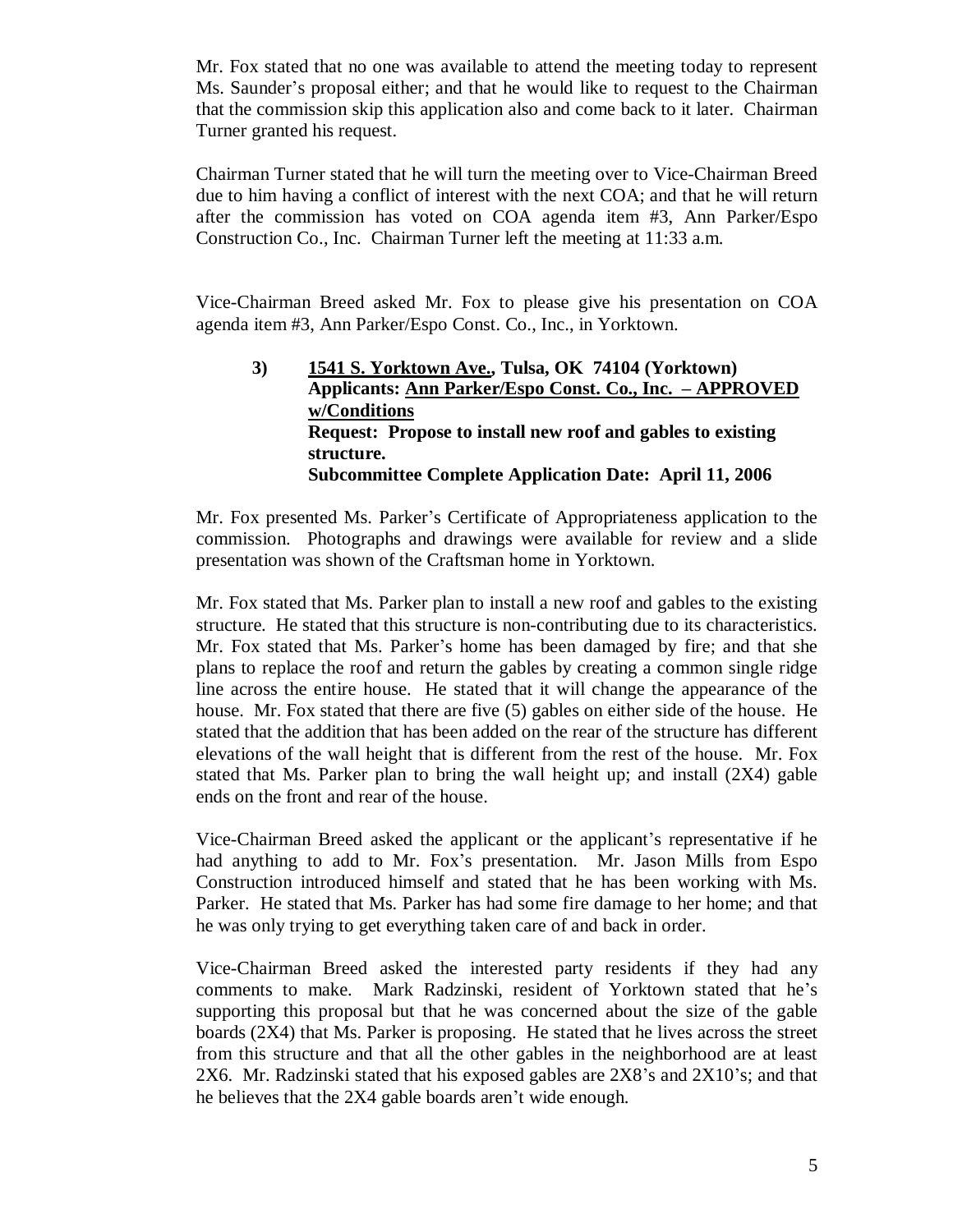Mr. Fox stated that no one was available to attend the meeting today to represent Ms. Saunder's proposal either; and that he would like to request to the Chairman that the commission skip this application also and come back to it later. Chairman Turner granted his request.

Chairman Turner stated that he will turn the meeting over to Vice-Chairman Breed due to him having a conflict of interest with the next COA; and that he will return after the commission has voted on COA agenda item #3, Ann Parker/Espo Construction Co., Inc. Chairman Turner left the meeting at 11:33 a.m.

Vice-Chairman Breed asked Mr. Fox to please give his presentation on COA agenda item #3, Ann Parker/Espo Const. Co., Inc., in Yorktown.

**3) 1541 S. Yorktown Ave., Tulsa, OK 74104 (Yorktown) Applicants: Ann Parker/Espo Const. Co., Inc. – APPROVED w/Conditions Request: Propose to install new roof and gables to existing structure. Subcommittee Complete Application Date: April 11, 2006**

Mr. Fox presented Ms. Parker's Certificate of Appropriateness application to the commission. Photographs and drawings were available for review and a slide presentation was shown of the Craftsman home in Yorktown.

Mr. Fox stated that Ms. Parker plan to install a new roof and gables to the existing structure. He stated that this structure is non-contributing due to its characteristics. Mr. Fox stated that Ms. Parker's home has been damaged by fire; and that she plans to replace the roof and return the gables by creating a common single ridge line across the entire house. He stated that it will change the appearance of the house. Mr. Fox stated that there are five (5) gables on either side of the house. He stated that the addition that has been added on the rear of the structure has different elevations of the wall height that is different from the rest of the house. Mr. Fox stated that Ms. Parker plan to bring the wall height up; and install (2X4) gable ends on the front and rear of the house.

Vice-Chairman Breed asked the applicant or the applicant's representative if he had anything to add to Mr. Fox's presentation. Mr. Jason Mills from Espo Construction introduced himself and stated that he has been working with Ms. Parker. He stated that Ms. Parker has had some fire damage to her home; and that he was only trying to get everything taken care of and back in order.

Vice-Chairman Breed asked the interested party residents if they had any comments to make. Mark Radzinski, resident of Yorktown stated that he's supporting this proposal but that he was concerned about the size of the gable boards (2X4) that Ms. Parker is proposing. He stated that he lives across the street from this structure and that all the other gables in the neighborhood are at least 2X6. Mr. Radzinski stated that his exposed gables are 2X8's and 2X10's; and that he believes that the 2X4 gable boards aren't wide enough.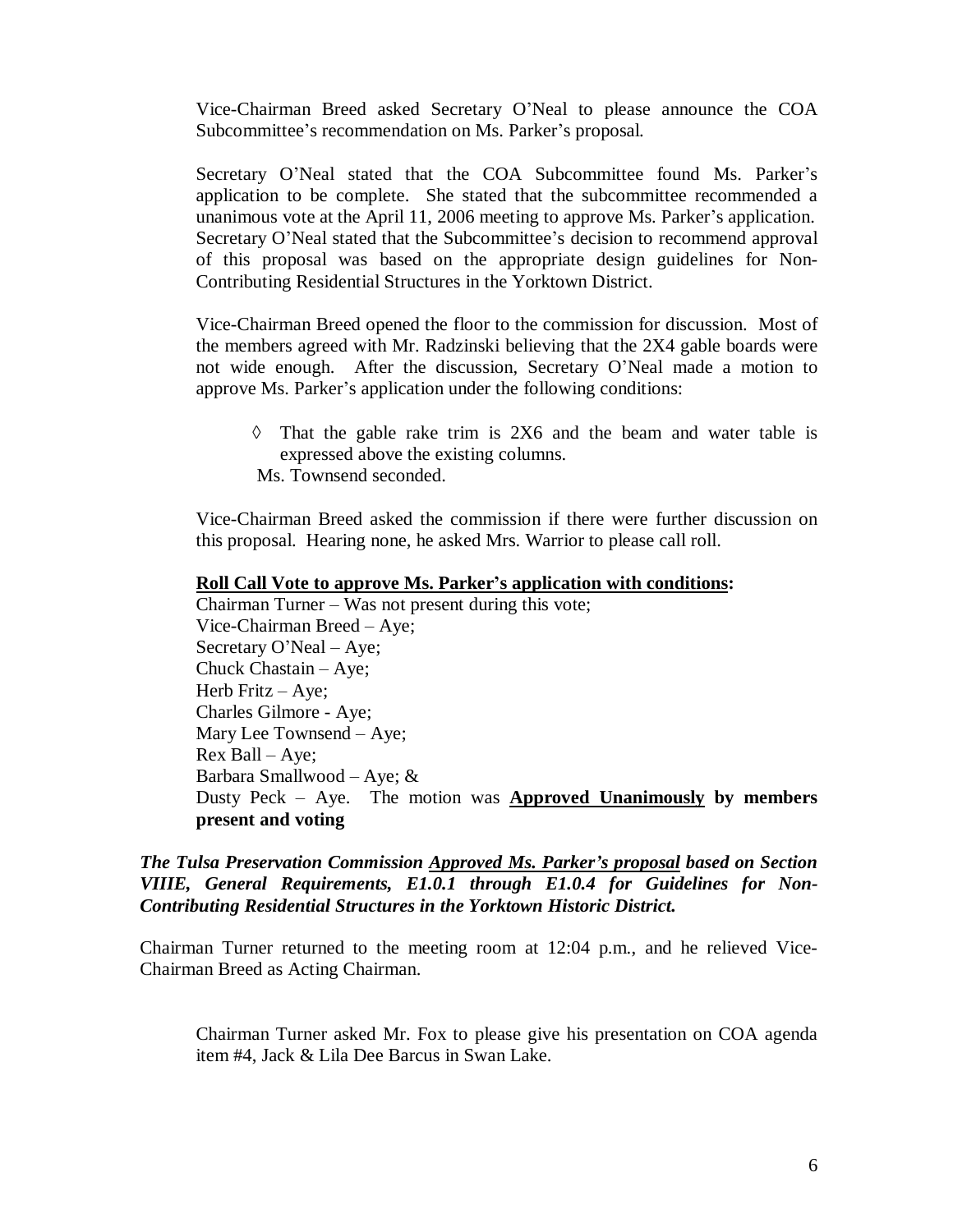Vice-Chairman Breed asked Secretary O'Neal to please announce the COA Subcommittee's recommendation on Ms. Parker's proposal.

Secretary O'Neal stated that the COA Subcommittee found Ms. Parker's application to be complete. She stated that the subcommittee recommended a unanimous vote at the April 11, 2006 meeting to approve Ms. Parker's application. Secretary O'Neal stated that the Subcommittee's decision to recommend approval of this proposal was based on the appropriate design guidelines for Non-Contributing Residential Structures in the Yorktown District.

Vice-Chairman Breed opened the floor to the commission for discussion. Most of the members agreed with Mr. Radzinski believing that the 2X4 gable boards were not wide enough. After the discussion, Secretary O'Neal made a motion to approve Ms. Parker's application under the following conditions:

 $\Diamond$  That the gable rake trim is 2X6 and the beam and water table is expressed above the existing columns. Ms. Townsend seconded.

Vice-Chairman Breed asked the commission if there were further discussion on this proposal. Hearing none, he asked Mrs. Warrior to please call roll.

#### **Roll Call Vote to approve Ms. Parker's application with conditions:**

Chairman Turner –Was not present during this vote; Vice-Chairman Breed – Aye; Secretary O'Neal – Aye; Chuck Chastain – Aye; Herb Fritz – Aye; Charles Gilmore - Aye; Mary Lee Townsend – Aye; Rex Ball –Aye; Barbara Smallwood – Aye; & Dusty Peck – Aye. The motion was **Approved Unanimously by members present and voting**

*The Tulsa Preservation Commission Approved Ms. Parker's proposal based on Section VIIIE, General Requirements, E1.0.1 through E1.0.4 for Guidelines for Non-Contributing Residential Structures in the Yorktown Historic District.*

Chairman Turner returned to the meeting room at 12:04 p.m., and he relieved Vice-Chairman Breed as Acting Chairman.

Chairman Turner asked Mr. Fox to please give his presentation on COA agenda item #4, Jack & Lila Dee Barcus in Swan Lake.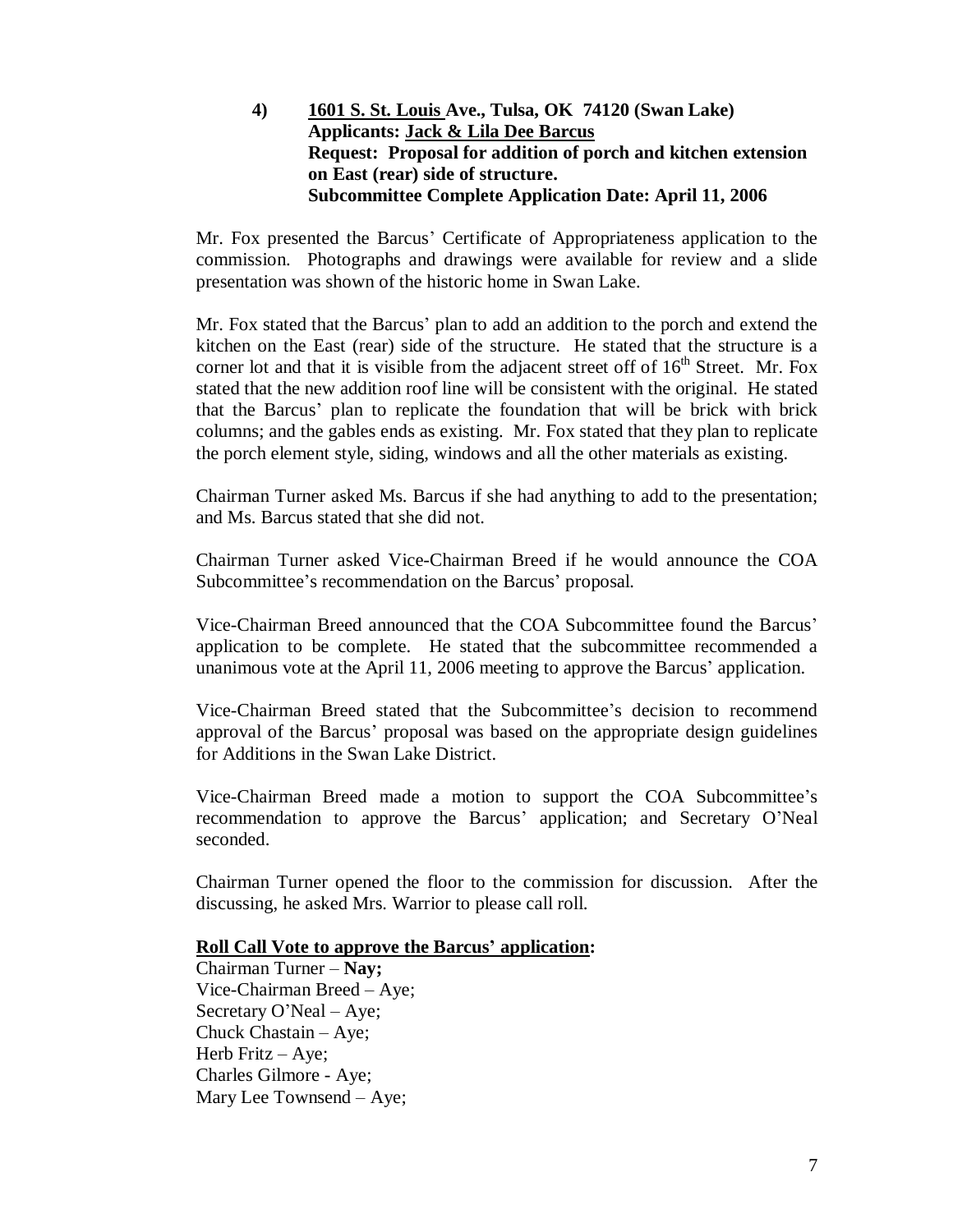**4) 1601 S. St. Louis Ave., Tulsa, OK 74120 (Swan Lake) Applicants: Jack & Lila Dee Barcus Request: Proposal for addition of porch and kitchen extension on East (rear) side of structure. Subcommittee Complete Application Date: April 11, 2006**

Mr. Fox presented the Barcus'Certificate of Appropriateness application to the commission. Photographs and drawings were available for review and a slide presentation was shown of the historic home in Swan Lake.

Mr. Fox stated that the Barcus' plan to add an addition to the porch and extend the kitchen on the East (rear) side of the structure. He stated that the structure is a corner lot and that it is visible from the adjacent street off of  $16<sup>th</sup>$  Street. Mr. Fox stated that the new addition roof line will be consistent with the original. He stated that the Barcus' plan to replicate the foundation that will be brick with brick columns; and the gables ends as existing. Mr. Fox stated that they plan to replicate the porch element style, siding, windows and all the other materials as existing.

Chairman Turner asked Ms. Barcus if she had anything to add to the presentation; and Ms. Barcus stated that she did not.

Chairman Turner asked Vice-Chairman Breed if he would announce the COA Subcommittee's recommendation on the Barcus' proposal.

Vice-Chairman Breed announced that the COA Subcommittee found the Barcus' application to be complete. He stated that the subcommittee recommended a unanimous vote at the April 11, 2006 meeting to approve the Barcus'application.

Vice-Chairman Breed stated that the Subcommittee's decision to recommend approval of the Barcus'proposal was based on the appropriate design guidelines for Additions in the Swan Lake District.

Vice-Chairman Breed made a motion to support the COA Subcommittee's recommendation to approve the Barcus' application; and Secretary O'Neal seconded.

Chairman Turner opened the floor to the commission for discussion. After the discussing, he asked Mrs. Warrior to please call roll.

### **Roll Call Vote to approve the Barcus' application:**

Chairman Turner –**Nay;** Vice-Chairman Breed – Aye; Secretary O'Neal – Aye; Chuck Chastain – Aye; Herb Fritz – Aye; Charles Gilmore - Aye; Mary Lee Townsend – Aye;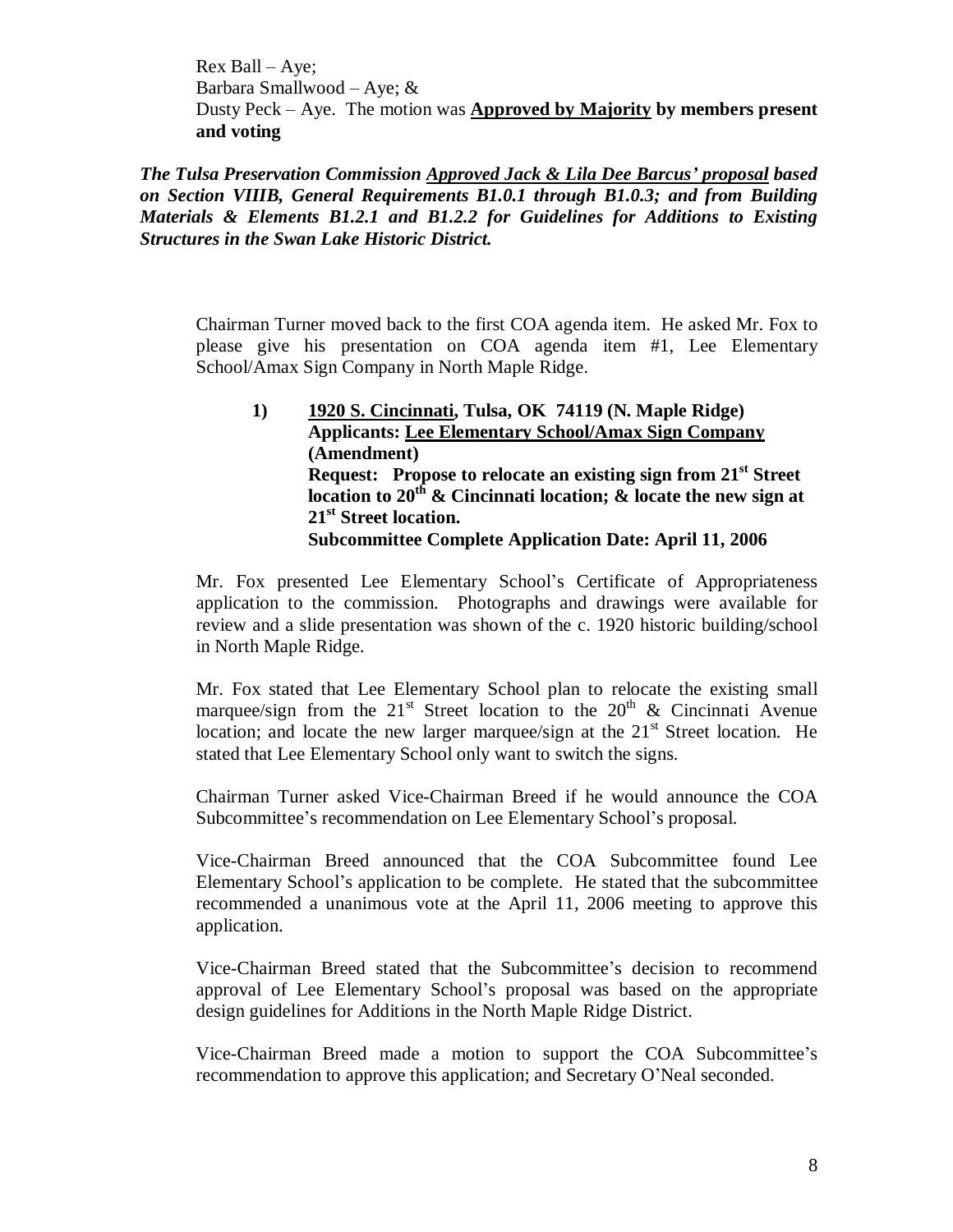Rex Ball –Aye; Barbara Smallwood – Aye;  $\&$ Dusty Peck – Aye. The motion was **Approved by Majority by members present and voting**

*The Tulsa Preservation Commission Approved Jack & Lila Dee Barcus' proposal based on Section VIIIB, General Requirements B1.0.1 through B1.0.3; and from Building Materials & Elements B1.2.1 and B1.2.2 for Guidelines for Additions to Existing Structures in the Swan Lake Historic District.*

Chairman Turner moved back to the first COA agenda item. He asked Mr. Fox to please give his presentation on COA agenda item #1, Lee Elementary School/Amax Sign Company in North Maple Ridge.

# **1) 1920 S. Cincinnati, Tulsa, OK 74119 (N. Maple Ridge) Applicants: Lee Elementary School/Amax Sign Company (Amendment) Request: Propose to relocate an existing sign from 21st Street location to 20th & Cincinnati location; & locate the new sign at 21st Street location. Subcommittee Complete Application Date: April 11, 2006**

Mr. Fox presented Lee Elementary School's Certificate of Appropriateness application to the commission. Photographs and drawings were available for review and a slide presentation was shown of the c. 1920 historic building/school in North Maple Ridge.

Mr. Fox stated that Lee Elementary School plan to relocate the existing small marquee/sign from the  $21<sup>st</sup>$  Street location to the  $20<sup>th</sup>$  & Cincinnati Avenue location; and locate the new larger marquee/sign at the  $21<sup>st</sup>$  Street location. He stated that Lee Elementary School only want to switch the signs.

Chairman Turner asked Vice-Chairman Breed if he would announce the COA Subcommittee's recommendation on Lee Elementary School's proposal.

Vice-Chairman Breed announced that the COA Subcommittee found Lee Elementary School's application to be complete. He stated that the subcommittee recommended a unanimous vote at the April 11, 2006 meeting to approve this application.

Vice-Chairman Breed stated that the Subcommittee's decision to recommend approval of Lee Elementary School's proposal was based on the appropriate design guidelines for Additions in the North Maple Ridge District.

Vice-Chairman Breed made a motion to support the COA Subcommittee's recommendation to approve this application; and Secretary O'Neal seconded.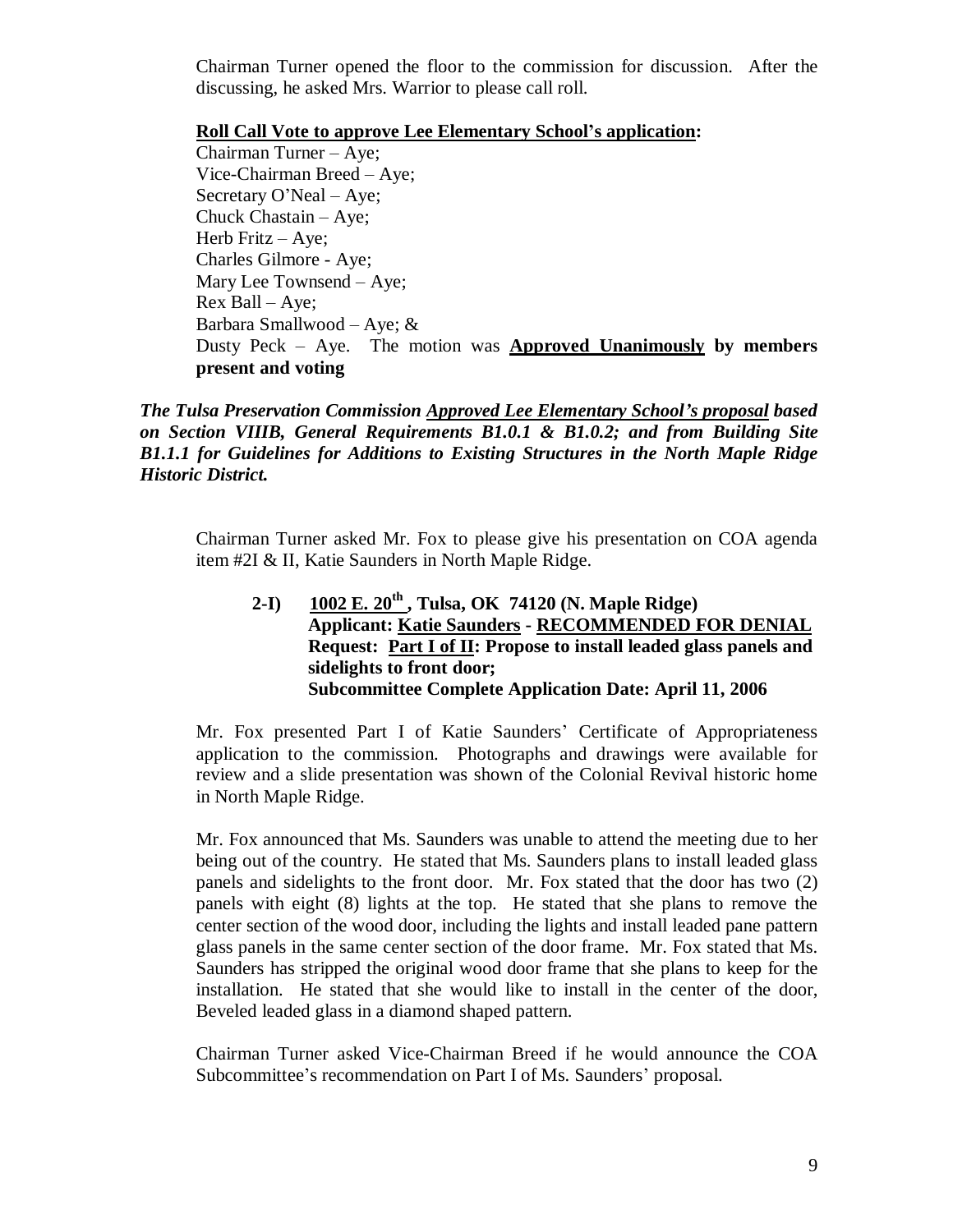Chairman Turner opened the floor to the commission for discussion. After the discussing, he asked Mrs. Warrior to please call roll.

**Roll Call Vote to approve Lee Elementary School's application:**

Chairman Turner –Aye; Vice-Chairman Breed – Aye; Secretary O'Neal – Aye; Chuck Chastain – Aye; Herb Fritz – Aye; Charles Gilmore - Aye; Mary Lee Townsend – Aye; Rex Ball –Aye; Barbara Smallwood – Aye; & Dusty Peck – Aye. The motion was **Approved Unanimously by members present and voting**

*The Tulsa Preservation Commission Approved Lee Elementary School's proposal based on Section VIIIB, General Requirements B1.0.1 & B1.0.2; and from Building Site B1.1.1 for Guidelines for Additions to Existing Structures in the North Maple Ridge Historic District.*

Chairman Turner asked Mr. Fox to please give his presentation on COA agenda item #2I & II, Katie Saunders in North Maple Ridge.

**2-I) 1002 E. 20th , Tulsa, OK 74120 (N. Maple Ridge) Applicant: Katie Saunders - RECOMMENDED FOR DENIAL Request: Part I of II: Propose to install leaded glass panels and sidelights to front door; Subcommittee Complete Application Date: April 11, 2006**

Mr. Fox presented Part I of Katie Saunders' Certificate of Appropriateness application to the commission. Photographs and drawings were available for review and a slide presentation was shown of the Colonial Revival historic home in North Maple Ridge.

Mr. Fox announced that Ms. Saunders was unable to attend the meeting due to her being out of the country. He stated that Ms. Saunders plans to install leaded glass panels and sidelights to the front door. Mr. Fox stated that the door has two (2) panels with eight (8) lights at the top. He stated that she plans to remove the center section of the wood door, including the lights and install leaded pane pattern glass panels in the same center section of the door frame. Mr. Fox stated that Ms. Saunders has stripped the original wood door frame that she plans to keep for the installation. He stated that she would like to install in the center of the door, Beveled leaded glass in a diamond shaped pattern.

Chairman Turner asked Vice-Chairman Breed if he would announce the COA Subcommittee's recommendation on Part I of Ms. Saunders'proposal.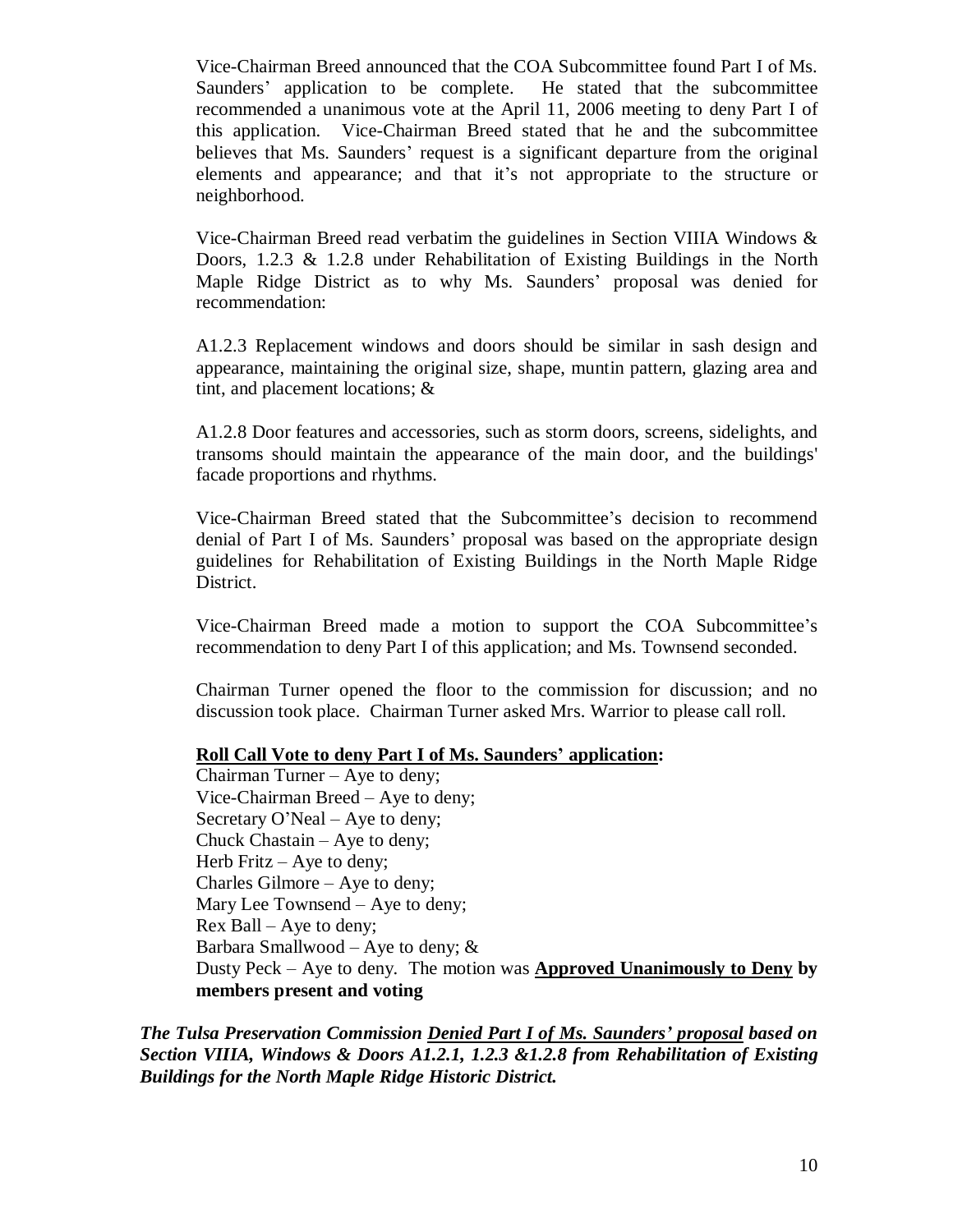Vice-Chairman Breed announced that the COA Subcommittee found Part I of Ms. Saunders' application to be complete. He stated that the subcommittee recommended a unanimous vote at the April 11, 2006 meeting to deny Part I of this application. Vice-Chairman Breed stated that he and the subcommittee believes that Ms. Saunders' request is a significant departure from the original elements and appearance; and that it's not appropriate to the structure or neighborhood.

Vice-Chairman Breed read verbatim the guidelines in Section VIIIA Windows & Doors, 1.2.3 & 1.2.8 under Rehabilitation of Existing Buildings in the North Maple Ridge District as to why Ms. Saunders' proposal was denied for recommendation:

A1.2.3 Replacement windows and doors should be similar in sash design and appearance, maintaining the original size, shape, muntin pattern, glazing area and tint, and placement locations; &

A1.2.8 Door features and accessories, such as storm doors, screens, sidelights, and transoms should maintain the appearance of the main door, and the buildings' facade proportions and rhythms.

Vice-Chairman Breed stated that the Subcommittee's decision to recommend denial of Part I of Ms. Saunders'proposal was based on the appropriate design guidelines for Rehabilitation of Existing Buildings in the North Maple Ridge District.

Vice-Chairman Breed made a motion to support the COA Subcommittee's recommendation to deny Part I of this application; and Ms. Townsend seconded.

Chairman Turner opened the floor to the commission for discussion; and no discussion took place. Chairman Turner asked Mrs. Warrior to please call roll.

### **Roll Call Vote to deny Part I of Ms. Saunders'application:**

Chairman Turner – Aye to deny; Vice-Chairman Breed – Aye to deny; Secretary O'Neal – Aye to deny; Chuck Chastain – Aye to deny; Herb Fritz  $-$  Aye to deny; Charles Gilmore – Aye to deny; Mary Lee Townsend – Aye to deny; Rex Ball –Aye to deny; Barbara Smallwood – Aye to deny;  $&$ Dusty Peck – Aye to deny. The motion was **Approved Unanimously to Deny by members present and voting**

*The Tulsa Preservation Commission Denied Part I of Ms. Saunders' proposal based on Section VIIIA, Windows & Doors A1.2.1, 1.2.3 &1.2.8 from Rehabilitation of Existing Buildings for the North Maple Ridge Historic District.*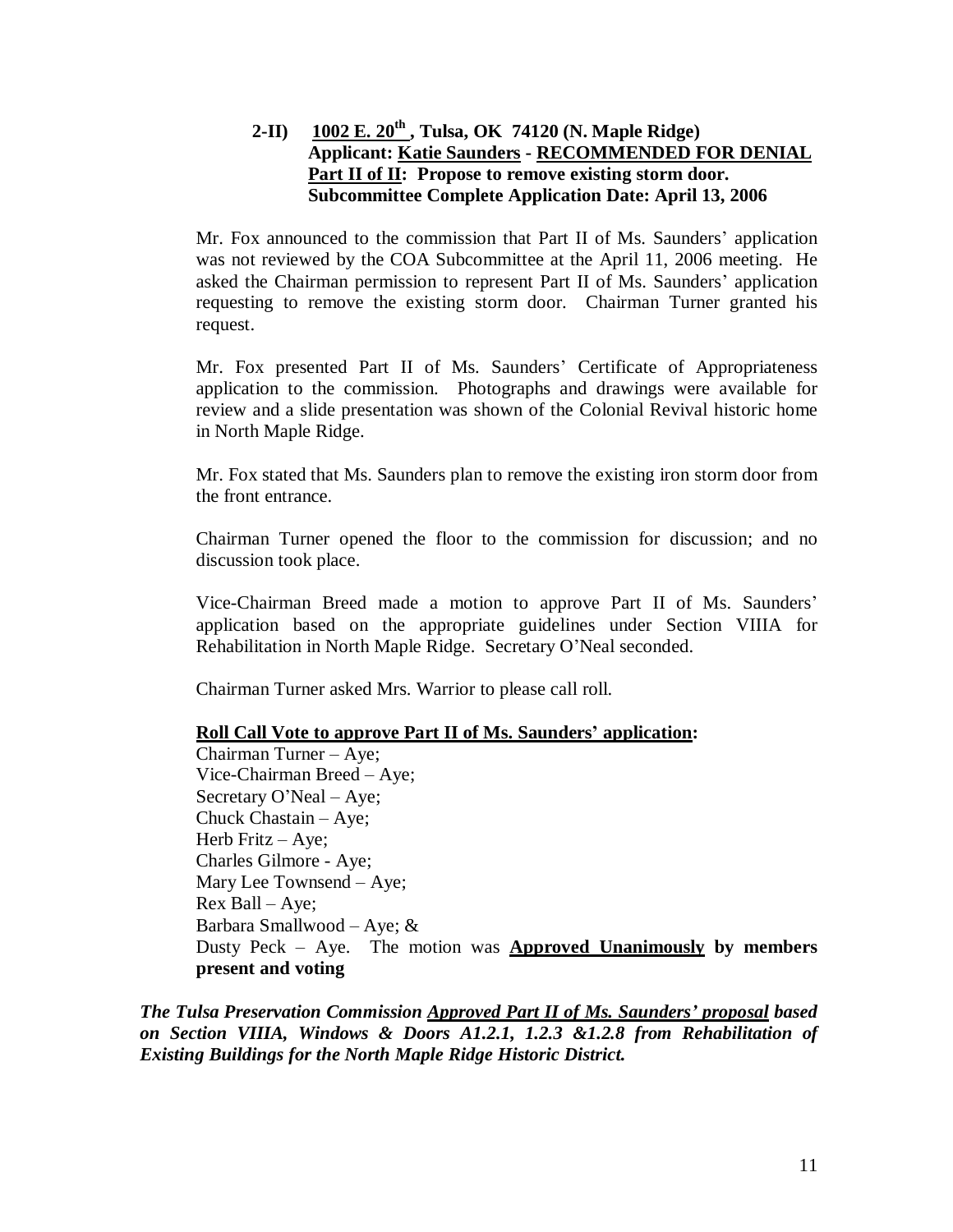# **2-II) 1002 E. 20th , Tulsa, OK 74120 (N. Maple Ridge) Applicant: Katie Saunders - RECOMMENDED FOR DENIAL Part II of II: Propose to remove existing storm door. Subcommittee Complete Application Date: April 13, 2006**

Mr. Fox announced to the commission that Part II of Ms. Saunders' application was not reviewed by the COA Subcommittee at the April 11, 2006 meeting. He asked the Chairman permission to represent Part II of Ms. Saunders' application requesting to remove the existing storm door. Chairman Turner granted his request.

Mr. Fox presented Part II of Ms. Saunders' Certificate of Appropriateness application to the commission. Photographs and drawings were available for review and a slide presentation was shown of the Colonial Revival historic home in North Maple Ridge.

Mr. Fox stated that Ms. Saunders plan to remove the existing iron storm door from the front entrance.

Chairman Turner opened the floor to the commission for discussion; and no discussion took place.

Vice-Chairman Breed made a motion to approve Part II of Ms. Saunders' application based on the appropriate guidelines under Section VIIIA for Rehabilitation in North Maple Ridge. Secretary O'Neal seconded.

Chairman Turner asked Mrs. Warrior to please call roll.

### **Roll Call Vote to approve Part II of Ms. Saunders' application:**

Chairman Turner –Aye; Vice-Chairman Breed – Aye; Secretary O'Neal – Aye; Chuck Chastain – Aye; Herb Fritz – Aye; Charles Gilmore - Aye; Mary Lee Townsend – Aye; Rex Ball – Ave: Barbara Smallwood – Aye; & Dusty Peck – Aye. The motion was **Approved Unanimously by members present and voting**

*The Tulsa Preservation Commission Approved Part II of Ms. Saunders' proposal based on Section VIIIA, Windows & Doors A1.2.1, 1.2.3 &1.2.8 from Rehabilitation of Existing Buildings for the North Maple Ridge Historic District.*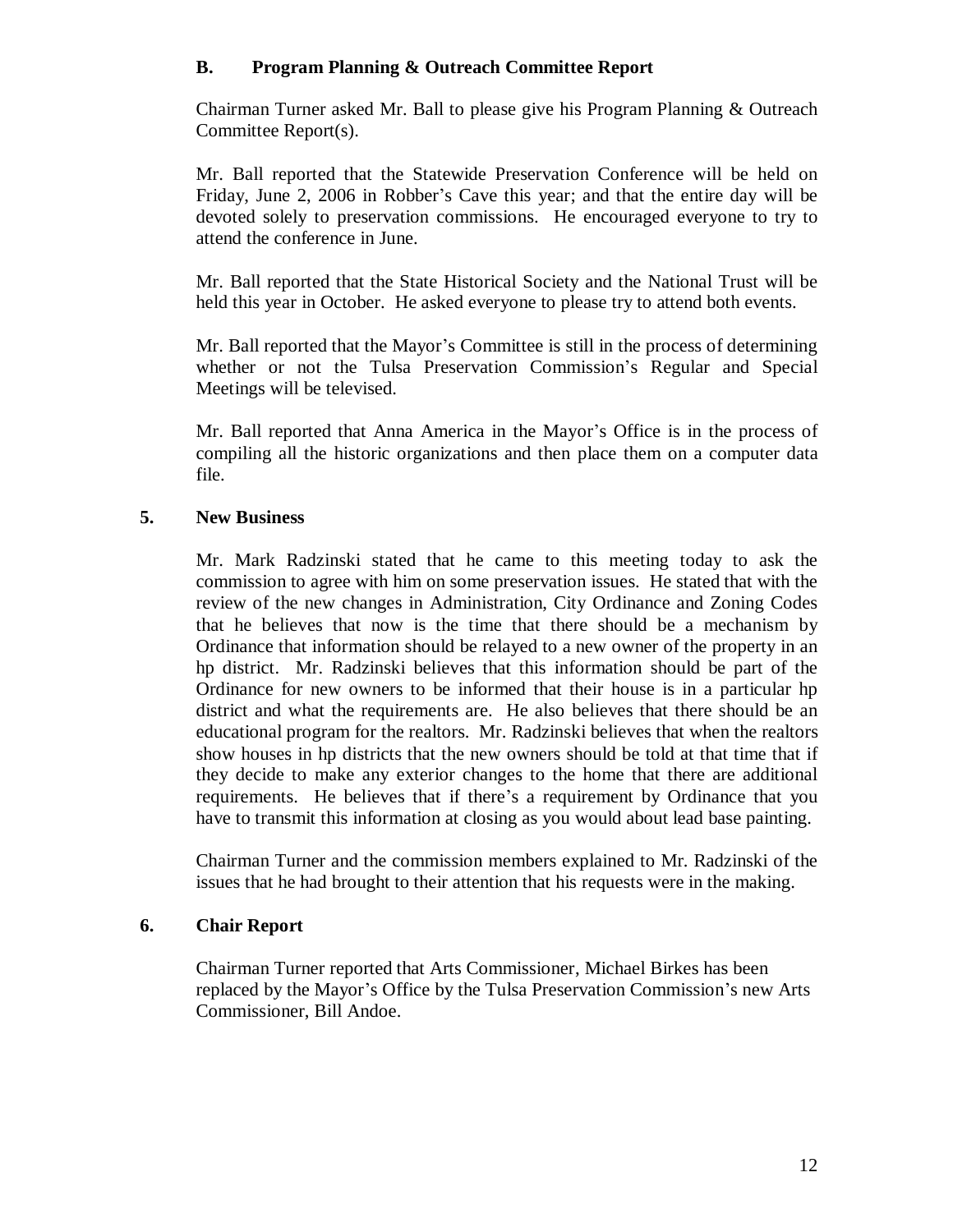# **B. Program Planning & Outreach Committee Report**

Chairman Turner asked Mr. Ball to please give his Program Planning & Outreach Committee Report(s).

Mr. Ball reported that the Statewide Preservation Conference will be held on Friday, June 2, 2006 in Robber's Cave this year; and that the entire day will be devoted solely to preservation commissions. He encouraged everyone to try to attend the conference in June.

Mr. Ball reported that the State Historical Society and the National Trust will be held this year in October. He asked everyone to please try to attend both events.

Mr. Ball reported that the Mayor's Committee is still in the process of determining whether or not the Tulsa Preservation Commission's Regular and Special Meetings will be televised.

Mr. Ball reported that Anna America in the Mayor's Office is in the process of compiling all the historic organizations and then place them on a computer data file.

# **5. New Business**

Mr. Mark Radzinski stated that he came to this meeting today to ask the commission to agree with him on some preservation issues. He stated that with the review of the new changes in Administration, City Ordinance and Zoning Codes that he believes that now is the time that there should be a mechanism by Ordinance that information should be relayed to a new owner of the property in an hp district. Mr. Radzinski believes that this information should be part of the Ordinance for new owners to be informed that their house is in a particular hp district and what the requirements are. He also believes that there should be an educational program for the realtors. Mr. Radzinski believes that when the realtors show houses in hp districts that the new owners should be told at that time that if they decide to make any exterior changes to the home that there are additional requirements. He believes that if there's a requirement by Ordinance that you have to transmit this information at closing as you would about lead base painting.

Chairman Turner and the commission members explained to Mr. Radzinski of the issues that he had brought to their attention that his requests were in the making.

### **6. Chair Report**

Chairman Turner reported that Arts Commissioner, Michael Birkes has been replaced by the Mayor's Office by the Tulsa Preservation Commission's new Arts Commissioner, Bill Andoe.